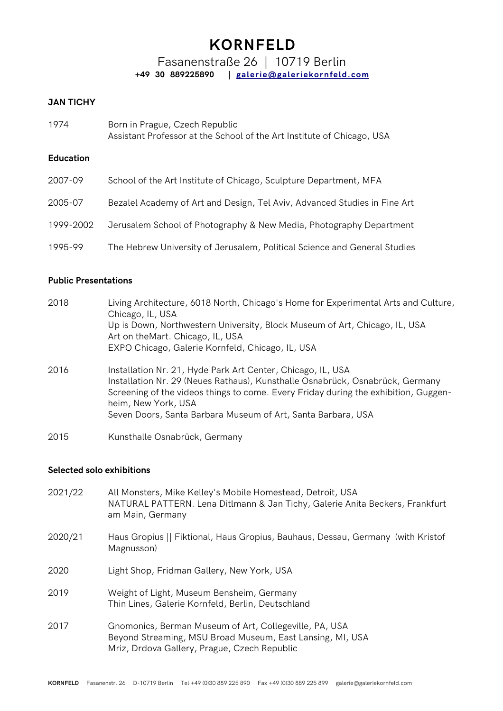Fasanenstraße 26 | 10719 Berlin **+49 30 889225890 | [galerie@galeriekornfeld.com](mailto:galerie@galeriekornfeld.com)**

### **JAN TICHY**

| 1974 | Born in Prague, Czech Republic                                         |
|------|------------------------------------------------------------------------|
|      | Assistant Professor at the School of the Art Institute of Chicago, USA |

### **Education**

| 2007-09   | School of the Art Institute of Chicago, Sculpture Department, MFA         |  |  |
|-----------|---------------------------------------------------------------------------|--|--|
| 2005-07   | Bezalel Academy of Art and Design, Tel Aviv, Advanced Studies in Fine Art |  |  |
| 1999-2002 | Jerusalem School of Photography & New Media, Photography Department       |  |  |
| 1995-99   | The Hebrew University of Jerusalem, Political Science and General Studies |  |  |

#### **Public Presentations**

| 2018 | Living Architecture, 6018 North, Chicago's Home for Experimental Arts and Culture,<br>Chicago, IL, USA                                                                                                                                                                                                                     |  |  |  |
|------|----------------------------------------------------------------------------------------------------------------------------------------------------------------------------------------------------------------------------------------------------------------------------------------------------------------------------|--|--|--|
|      | Up is Down, Northwestern University, Block Museum of Art, Chicago, IL, USA<br>Art on the Mart. Chicago, IL, USA                                                                                                                                                                                                            |  |  |  |
|      | EXPO Chicago, Galerie Kornfeld, Chicago, IL, USA                                                                                                                                                                                                                                                                           |  |  |  |
| 2016 | Installation Nr. 21, Hyde Park Art Center, Chicago, IL, USA<br>Installation Nr. 29 (Neues Rathaus), Kunsthalle Osnabrück, Osnabrück, Germany<br>Screening of the videos things to come. Every Friday during the exhibition, Guggen-<br>heim, New York, USA<br>Seven Doors, Santa Barbara Museum of Art, Santa Barbara, USA |  |  |  |
| 2015 | Kunsthalle Osnabrück, Germany                                                                                                                                                                                                                                                                                              |  |  |  |

#### **Selected solo exhibitions**

- 2021/22 All Monsters, Mike Kelley's Mobile Homestead, Detroit, USA NATURAL PATTERN. Lena Ditlmann & Jan Tichy, Galerie Anita Beckers, Frankfurt am Main, Germany
- 2020/21 Haus Gropius || Fiktional, Haus Gropius, Bauhaus, Dessau, Germany (with Kristof Magnusson)
- 2020 Light Shop, Fridman Gallery, New York, USA
- 2019 Weight of Light, Museum Bensheim, Germany Thin Lines, Galerie Kornfeld, Berlin, Deutschland
- 2017 Gnomonics, Berman Museum of Art, Collegeville, PA, USA Beyond Streaming, MSU Broad Museum, East Lansing, MI, USA Mriz, Drdova Gallery, Prague, Czech Republic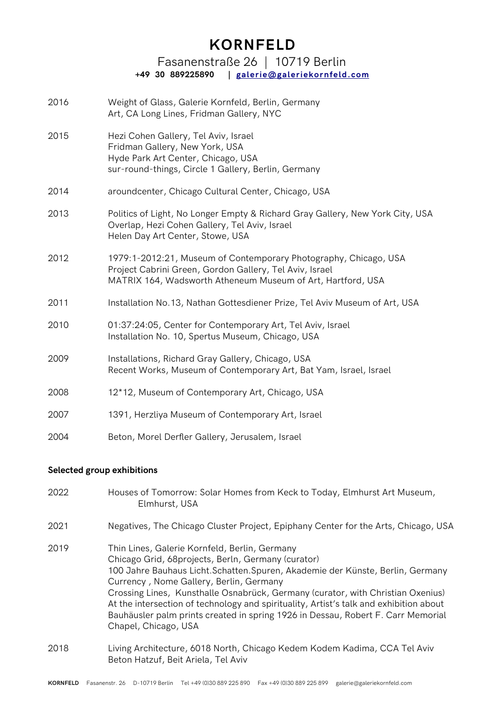### Fasanenstraße 26 | 10719 Berlin **+49 30 889225890 | [galerie@galeriekornfeld.com](mailto:galerie@galeriekornfeld.com)**

- 2016 Weight of Glass, Galerie Kornfeld, Berlin, Germany Art, CA Long Lines, Fridman Gallery, NYC
- 2015 Hezi Cohen Gallery, Tel Aviv, Israel Fridman Gallery, New York, USA Hyde Park Art Center, Chicago, USA sur-round-things, Circle 1 Gallery, Berlin, Germany
- 2014 aroundcenter, Chicago Cultural Center, Chicago, USA
- 2013 Politics of Light, No Longer Empty & Richard Gray Gallery, New York City, USA Overlap, Hezi Cohen Gallery, Tel Aviv, Israel Helen Day Art Center, Stowe, USA
- 2012 1979:1-2012:21, Museum of Contemporary Photography, Chicago, USA Project Cabrini Green, Gordon Gallery, Tel Aviv, Israel MATRIX 164, Wadsworth Atheneum Museum of Art, Hartford, USA
- 2011 Installation No.13, Nathan Gottesdiener Prize, Tel Aviv Museum of Art, USA
- 2010 01:37:24:05, Center for Contemporary Art, Tel Aviv, Israel Installation No. 10, Spertus Museum, Chicago, USA
- 2009 Installations, Richard Gray Gallery, Chicago, USA Recent Works, Museum of Contemporary Art, Bat Yam, Israel, Israel
- 2008 12\*12, Museum of Contemporary Art, Chicago, USA
- 2007 1391, Herzliya Museum of Contemporary Art, Israel
- 2004 Beton, Morel Derfer Gallery, Jerusalem, Israel

#### **Selected group exhibitions**

- 2022 Houses of Tomorrow: Solar Homes from Keck to Today, Elmhurst Art Museum, Elmhurst, USA 2021 Negatives, The Chicago Cluster Project, Epiphany Center for the Arts, Chicago, USA 2019 Thin Lines, Galerie Kornfeld, Berlin, Germany Chicago Grid, 68projects, Berln, Germany (curator) 100 Jahre Bauhaus Licht.Schatten.Spuren, Akademie der Künste, Berlin, Germany Currency , Nome Gallery, Berlin, Germany Crossing Lines, Kunsthalle Osnabrück, Germany (curator, with Christian Oxenius) At the intersection of technology and spirituality, Artist's talk and exhibition about Bauhäusler palm prints created in spring 1926 in Dessau, Robert F. Carr Memorial Chapel, Chicago, USA
- 2018 Living Architecture, 6018 North, Chicago Kedem Kodem Kadima, CCA Tel Aviv Beton Hatzuf, Beit Ariela, Tel Aviv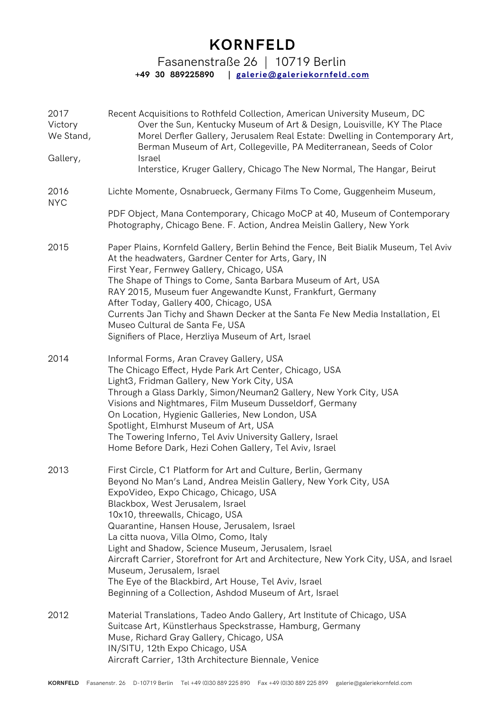Fasanenstraße 26 | 10719 Berlin **+49 30 889225890 | [galerie@galeriekornfeld.com](mailto:galerie@galeriekornfeld.com)**

| 2017<br>Victory<br>We Stand,<br>Gallery, | Recent Acquisitions to Rothfeld Collection, American University Museum, DC<br>Over the Sun, Kentucky Museum of Art & Design, Louisville, KY The Place<br>Morel Derfler Gallery, Jerusalem Real Estate: Dwelling in Contemporary Art,<br>Berman Museum of Art, Collegeville, PA Mediterranean, Seeds of Color<br>Israel<br>Interstice, Kruger Gallery, Chicago The New Normal, The Hangar, Beirut                                                                                                                                                                                                                                              |  |  |  |
|------------------------------------------|-----------------------------------------------------------------------------------------------------------------------------------------------------------------------------------------------------------------------------------------------------------------------------------------------------------------------------------------------------------------------------------------------------------------------------------------------------------------------------------------------------------------------------------------------------------------------------------------------------------------------------------------------|--|--|--|
| 2016<br><b>NYC</b>                       | Lichte Momente, Osnabrueck, Germany Films To Come, Guggenheim Museum,                                                                                                                                                                                                                                                                                                                                                                                                                                                                                                                                                                         |  |  |  |
|                                          | PDF Object, Mana Contemporary, Chicago MoCP at 40, Museum of Contemporary<br>Photography, Chicago Bene. F. Action, Andrea Meislin Gallery, New York                                                                                                                                                                                                                                                                                                                                                                                                                                                                                           |  |  |  |
| 2015                                     | Paper Plains, Kornfeld Gallery, Berlin Behind the Fence, Beit Bialik Museum, Tel Aviv<br>At the headwaters, Gardner Center for Arts, Gary, IN<br>First Year, Fernwey Gallery, Chicago, USA<br>The Shape of Things to Come, Santa Barbara Museum of Art, USA<br>RAY 2015, Museum fuer Angewandte Kunst, Frankfurt, Germany<br>After Today, Gallery 400, Chicago, USA<br>Currents Jan Tichy and Shawn Decker at the Santa Fe New Media Installation, El<br>Museo Cultural de Santa Fe, USA<br>Signifiers of Place, Herzliya Museum of Art, Israel                                                                                               |  |  |  |
| 2014                                     | Informal Forms, Aran Cravey Gallery, USA<br>The Chicago Effect, Hyde Park Art Center, Chicago, USA<br>Light3, Fridman Gallery, New York City, USA<br>Through a Glass Darkly, Simon/Neuman2 Gallery, New York City, USA<br>Visions and Nightmares, Film Museum Dusseldorf, Germany<br>On Location, Hygienic Galleries, New London, USA<br>Spotlight, Elmhurst Museum of Art, USA<br>The Towering Inferno, Tel Aviv University Gallery, Israel<br>Home Before Dark, Hezi Cohen Gallery, Tel Aviv, Israel                                                                                                                                        |  |  |  |
| 2013                                     | First Circle, C1 Platform for Art and Culture, Berlin, Germany<br>Beyond No Man's Land, Andrea Meislin Gallery, New York City, USA<br>ExpoVideo, Expo Chicago, Chicago, USA<br>Blackbox, West Jerusalem, Israel<br>10x10, threewalls, Chicago, USA<br>Quarantine, Hansen House, Jerusalem, Israel<br>La citta nuova, Villa Olmo, Como, Italy<br>Light and Shadow, Science Museum, Jerusalem, Israel<br>Aircraft Carrier, Storefront for Art and Architecture, New York City, USA, and Israel<br>Museum, Jerusalem, Israel<br>The Eye of the Blackbird, Art House, Tel Aviv, Israel<br>Beginning of a Collection, Ashdod Museum of Art, Israel |  |  |  |
| 2012                                     | Material Translations, Tadeo Ando Gallery, Art Institute of Chicago, USA<br>Suitcase Art, Künstlerhaus Speckstrasse, Hamburg, Germany<br>Muse, Richard Gray Gallery, Chicago, USA<br>IN/SITU, 12th Expo Chicago, USA<br>Aircraft Carrier, 13th Architecture Biennale, Venice                                                                                                                                                                                                                                                                                                                                                                  |  |  |  |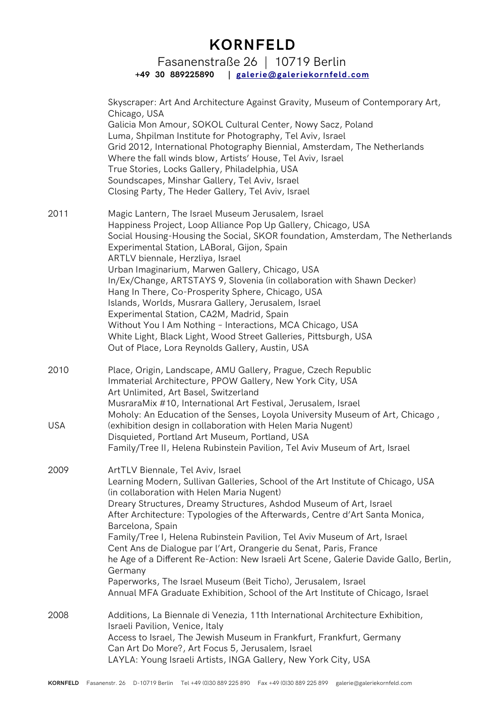Fasanenstraße 26 | 10719 Berlin **+49 30 889225890 | [galerie@galeriekornfeld.com](mailto:galerie@galeriekornfeld.com)**

|            | Skyscraper: Art And Architecture Against Gravity, Museum of Contemporary Art,<br>Chicago, USA<br>Galicia Mon Amour, SOKOL Cultural Center, Nowy Sacz, Poland<br>Luma, Shpilman Institute for Photography, Tel Aviv, Israel<br>Grid 2012, International Photography Biennial, Amsterdam, The Netherlands<br>Where the fall winds blow, Artists' House, Tel Aviv, Israel<br>True Stories, Locks Gallery, Philadelphia, USA<br>Soundscapes, Minshar Gallery, Tel Aviv, Israel<br>Closing Party, The Heder Gallery, Tel Aviv, Israel                                                                                                                                                                                                                                     |
|------------|----------------------------------------------------------------------------------------------------------------------------------------------------------------------------------------------------------------------------------------------------------------------------------------------------------------------------------------------------------------------------------------------------------------------------------------------------------------------------------------------------------------------------------------------------------------------------------------------------------------------------------------------------------------------------------------------------------------------------------------------------------------------|
| 2011       | Magic Lantern, The Israel Museum Jerusalem, Israel<br>Happiness Project, Loop Alliance Pop Up Gallery, Chicago, USA<br>Social Housing-Housing the Social, SKOR foundation, Amsterdam, The Netherlands<br>Experimental Station, LABoral, Gijon, Spain<br>ARTLV biennale, Herzliya, Israel<br>Urban Imaginarium, Marwen Gallery, Chicago, USA<br>In/Ex/Change, ARTSTAYS 9, Slovenia (in collaboration with Shawn Decker)<br>Hang In There, Co-Prosperity Sphere, Chicago, USA<br>Islands, Worlds, Musrara Gallery, Jerusalem, Israel<br>Experimental Station, CA2M, Madrid, Spain<br>Without You I Am Nothing - Interactions, MCA Chicago, USA<br>White Light, Black Light, Wood Street Galleries, Pittsburgh, USA<br>Out of Place, Lora Reynolds Gallery, Austin, USA |
| 2010       | Place, Origin, Landscape, AMU Gallery, Prague, Czech Republic<br>Immaterial Architecture, PPOW Gallery, New York City, USA<br>Art Unlimited, Art Basel, Switzerland<br>MusraraMix #10, International Art Festival, Jerusalem, Israel<br>Moholy: An Education of the Senses, Loyola University Museum of Art, Chicago,                                                                                                                                                                                                                                                                                                                                                                                                                                                |
| <b>USA</b> | (exhibition design in collaboration with Helen Maria Nugent)<br>Disquieted, Portland Art Museum, Portland, USA<br>Family/Tree II, Helena Rubinstein Pavilion, Tel Aviv Museum of Art, Israel                                                                                                                                                                                                                                                                                                                                                                                                                                                                                                                                                                         |
| 2009       | ArtTLV Biennale, Tel Aviv, Israel<br>Learning Modern, Sullivan Galleries, School of the Art Institute of Chicago, USA<br>(in collaboration with Helen Maria Nugent)<br>Dreary Structures, Dreamy Structures, Ashdod Museum of Art, Israel<br>After Architecture: Typologies of the Afterwards, Centre d'Art Santa Monica,<br>Barcelona, Spain<br>Family/Tree I, Helena Rubinstein Pavilion, Tel Aviv Museum of Art, Israel<br>Cent Ans de Dialogue par l'Art, Orangerie du Senat, Paris, France<br>he Age of a Different Re-Action: New Israeli Art Scene, Galerie Davide Gallo, Berlin,<br>Germany<br>Paperworks, The Israel Museum (Beit Ticho), Jerusalem, Israel<br>Annual MFA Graduate Exhibition, School of the Art Institute of Chicago, Israel               |
| 2008       | Additions, La Biennale di Venezia, 11th International Architecture Exhibition,<br>Israeli Pavilion, Venice, Italy<br>Access to Israel, The Jewish Museum in Frankfurt, Frankfurt, Germany<br>Can Art Do More?, Art Focus 5, Jerusalem, Israel<br>LAYLA: Young Israeli Artists, INGA Gallery, New York City, USA                                                                                                                                                                                                                                                                                                                                                                                                                                                      |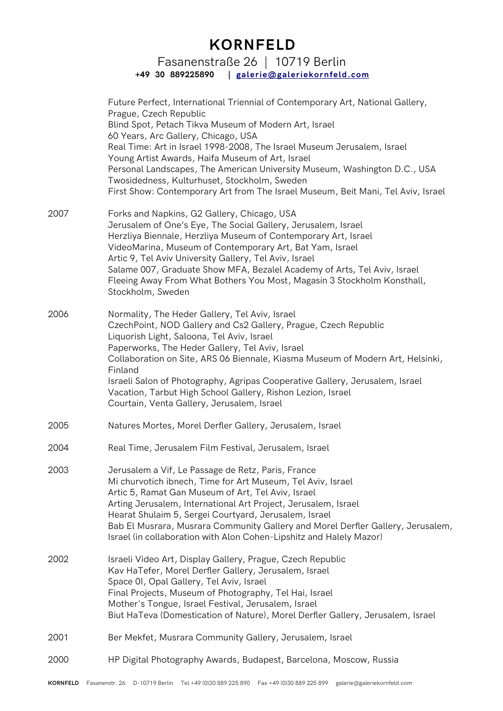Fasanenstraße 26 | 10719 Berlin **+49 30 889225890 | [galerie@galeriekornfeld.com](mailto:galerie@galeriekornfeld.com)**

Future Perfect, International Triennial of Contemporary Art, National Gallery, Prague, Czech Republic Blind Spot, Petach Tikva Museum of Modern Art, Israel 60 Years, Arc Gallery, Chicago, USA Real Time: Art in Israel 1998-2008, The Israel Museum Jerusalem, Israel Young Artist Awards, Haifa Museum of Art, Israel Personal Landscapes, The American University Museum, Washington D.C., USA Twosidedness, Kulturhuset, Stockholm, Sweden First Show: Contemporary Art from The Israel Museum, Beit Mani, Tel Aviv, Israel 2007 Forks and Napkins, G2 Gallery, Chicago, USA Jerusalem of One's Eye, The Social Gallery, Jerusalem, Israel Herzliya Biennale, Herzliya Museum of Contemporary Art, Israel VideoMarina, Museum of Contemporary Art, Bat Yam, Israel Artic 9, Tel Aviv University Gallery, Tel Aviv, Israel Salame 007, Graduate Show MFA, Bezalel Academy of Arts, Tel Aviv, Israel Fleeing Away From What Bothers You Most, Magasin 3 Stockholm Konsthall, Stockholm, Sweden 2006 Normality, The Heder Gallery, Tel Aviv, Israel CzechPoint, NOD Gallery and Cs2 Gallery, Prague, Czech Republic Liquorish Light, Saloona, Tel Aviv, Israel Paperworks, The Heder Gallery, Tel Aviv, Israel Collaboration on Site, ARS 06 Biennale, Kiasma Museum of Modern Art, Helsinki, Finland Israeli Salon of Photography, Agripas Cooperative Gallery, Jerusalem, Israel Vacation, Tarbut High School Gallery, Rishon Lezion, Israel Courtain, Venta Gallery, Jerusalem, Israel 2005 Natures Mortes, Morel Derfer Gallery, Jerusalem, Israel 2004 Real Time, Jerusalem Film Festival, Jerusalem, Israel 2003 Jerusalem a Vif, Le Passage de Retz, Paris, France Mi churvotich ibnech, Time for Art Museum, Tel Aviv, Israel Artic 5, Ramat Gan Museum of Art, Tel Aviv, Israel Arting Jerusalem, International Art Project, Jerusalem, Israel Hearat Shulaim 5, Sergei Courtyard, Jerusalem, Israel Bab El Musrara, Musrara Community Gallery and Morel Derfer Gallery, Jerusalem, Israel (in collaboration with Alon Cohen-Lipshitz and Halely Mazor) 2002 Israeli Video Art, Display Gallery, Prague, Czech Republic Kav HaTefer, Morel Derfer Gallery, Jerusalem, Israel Space 0I, Opal Gallery, Tel Aviv, Israel Final Projects, Museum of Photography, Tel Hai, Israel Mother's Tongue, Israel Festival, Jerusalem, Israel Biut HaTeva (Domestication of Nature), Morel Derfer Gallery, Jerusalem, Israel 2001 Ber Mekfet, Musrara Community Gallery, Jerusalem, Israel 2000 HP Digital Photography Awards, Budapest, Barcelona, Moscow, Russia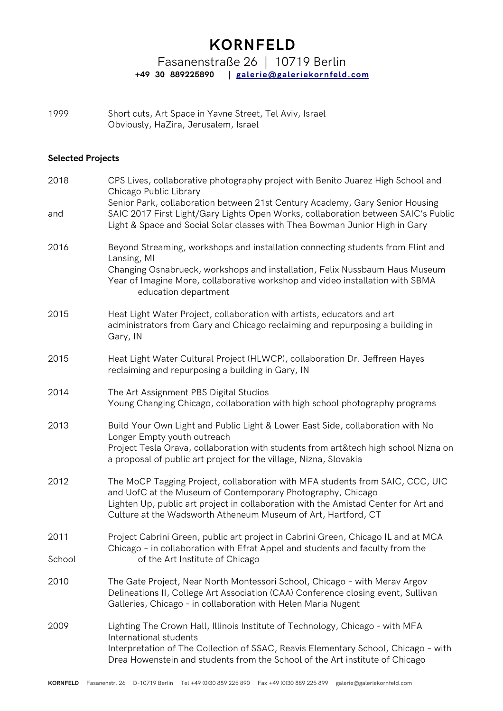Fasanenstraße 26 | 10719 Berlin **+49 30 889225890 | [galerie@galeriekornfeld.com](mailto:galerie@galeriekornfeld.com)**

1999 Short cuts, Art Space in Yavne Street, Tel Aviv, Israel Obviously, HaZira, Jerusalem, Israel

### **Selected Projects**

| 2018   | CPS Lives, collaborative photography project with Benito Juarez High School and<br>Chicago Public Library<br>Senior Park, collaboration between 21st Century Academy, Gary Senior Housing<br>SAIC 2017 First Light/Gary Lights Open Works, collaboration between SAIC's Public<br>Light & Space and Social Solar classes with Thea Bowman Junior High in Gary |  |  |  |
|--------|---------------------------------------------------------------------------------------------------------------------------------------------------------------------------------------------------------------------------------------------------------------------------------------------------------------------------------------------------------------|--|--|--|
| and    |                                                                                                                                                                                                                                                                                                                                                               |  |  |  |
| 2016   | Beyond Streaming, workshops and installation connecting students from Flint and<br>Lansing, MI                                                                                                                                                                                                                                                                |  |  |  |
|        | Changing Osnabrueck, workshops and installation, Felix Nussbaum Haus Museum<br>Year of Imagine More, collaborative workshop and video installation with SBMA<br>education department                                                                                                                                                                          |  |  |  |
| 2015   | Heat Light Water Project, collaboration with artists, educators and art<br>administrators from Gary and Chicago reclaiming and repurposing a building in<br>Gary, IN                                                                                                                                                                                          |  |  |  |
| 2015   | Heat Light Water Cultural Project (HLWCP), collaboration Dr. Jeffreen Hayes<br>reclaiming and repurposing a building in Gary, IN                                                                                                                                                                                                                              |  |  |  |
| 2014   | The Art Assignment PBS Digital Studios<br>Young Changing Chicago, collaboration with high school photography programs                                                                                                                                                                                                                                         |  |  |  |
| 2013   | Build Your Own Light and Public Light & Lower East Side, collaboration with No<br>Longer Empty youth outreach<br>Project Tesla Orava, collaboration with students from art&tech high school Nizna on<br>a proposal of public art project for the village, Nizna, Slovakia                                                                                     |  |  |  |
| 2012   | The MoCP Tagging Project, collaboration with MFA students from SAIC, CCC, UIC<br>and UofC at the Museum of Contemporary Photography, Chicago<br>Lighten Up, public art project in collaboration with the Amistad Center for Art and<br>Culture at the Wadsworth Atheneum Museum of Art, Hartford, CT                                                          |  |  |  |
| 2011   | Project Cabrini Green, public art project in Cabrini Green, Chicago IL and at MCA<br>Chicago - in collaboration with Efrat Appel and students and faculty from the                                                                                                                                                                                            |  |  |  |
| School | of the Art Institute of Chicago                                                                                                                                                                                                                                                                                                                               |  |  |  |
| 2010   | The Gate Project, Near North Montessori School, Chicago - with Merav Argov<br>Delineations II, College Art Association (CAA) Conference closing event, Sullivan<br>Galleries, Chicago - in collaboration with Helen Maria Nugent                                                                                                                              |  |  |  |
| 2009   | Lighting The Crown Hall, Illinois Institute of Technology, Chicago - with MFA<br>International students<br>Interpretation of The Collection of SSAC, Reavis Elementary School, Chicago - with<br>Drea Howenstein and students from the School of the Art institute of Chicago                                                                                 |  |  |  |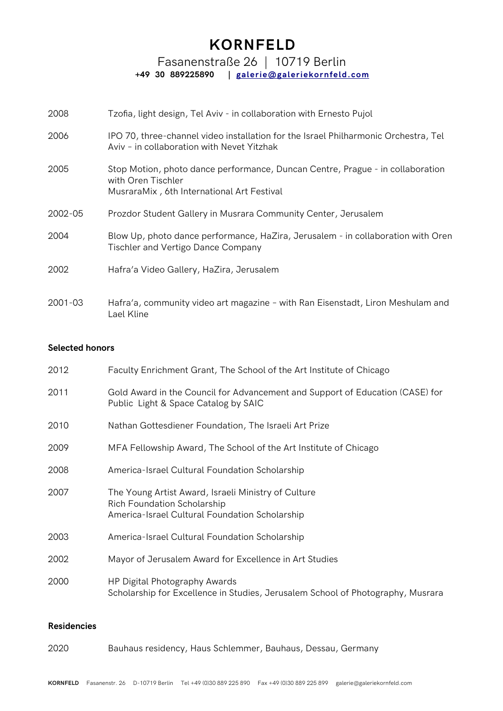Fasanenstraße 26 | 10719 Berlin **+49 30 889225890 | [galerie@galeriekornfeld.com](mailto:galerie@galeriekornfeld.com)**

| 2008        | Tzofia, light design, Tel Aviv - in collaboration with Ernesto Pujol                                                                               |  |  |
|-------------|----------------------------------------------------------------------------------------------------------------------------------------------------|--|--|
| 2006        | IPO 70, three-channel video installation for the Israel Philharmonic Orchestra, Tel<br>Aviv - in collaboration with Nevet Yitzhak                  |  |  |
| 2005        | Stop Motion, photo dance performance, Duncan Centre, Prague - in collaboration<br>with Oren Tischler<br>MusraraMix, 6th International Art Festival |  |  |
| 2002-05     | Prozdor Student Gallery in Musrara Community Center, Jerusalem                                                                                     |  |  |
| 2004        | Blow Up, photo dance performance, HaZira, Jerusalem - in collaboration with Oren<br>Tischler and Vertigo Dance Company                             |  |  |
| 2002        | Hafra'a Video Gallery, HaZira, Jerusalem                                                                                                           |  |  |
| $2001 - 03$ | Hafra'a, community video art magazine - with Ran Eisenstadt, Liron Meshulam and<br>Lael Kline                                                      |  |  |

### **Selected honors**

| 2012 | Faculty Enrichment Grant, The School of the Art Institute of Chicago                                                                        |  |  |  |
|------|---------------------------------------------------------------------------------------------------------------------------------------------|--|--|--|
| 2011 | Gold Award in the Council for Advancement and Support of Education (CASE) for<br>Public Light & Space Catalog by SAIC                       |  |  |  |
| 2010 | Nathan Gottesdiener Foundation, The Israeli Art Prize                                                                                       |  |  |  |
| 2009 | MFA Fellowship Award, The School of the Art Institute of Chicago                                                                            |  |  |  |
| 2008 | America-Israel Cultural Foundation Scholarship                                                                                              |  |  |  |
| 2007 | The Young Artist Award, Israeli Ministry of Culture<br><b>Rich Foundation Scholarship</b><br>America-Israel Cultural Foundation Scholarship |  |  |  |
| 2003 | America-Israel Cultural Foundation Scholarship                                                                                              |  |  |  |
| 2002 | Mayor of Jerusalem Award for Excellence in Art Studies                                                                                      |  |  |  |
| 2000 | HP Digital Photography Awards<br>Scholarship for Excellence in Studies, Jerusalem School of Photography, Musrara                            |  |  |  |

### **Residencies**

| 2020 | Bauhaus residency, Haus Schlemmer, Bauhaus, Dessau, Germany |  |  |  |  |
|------|-------------------------------------------------------------|--|--|--|--|
|------|-------------------------------------------------------------|--|--|--|--|